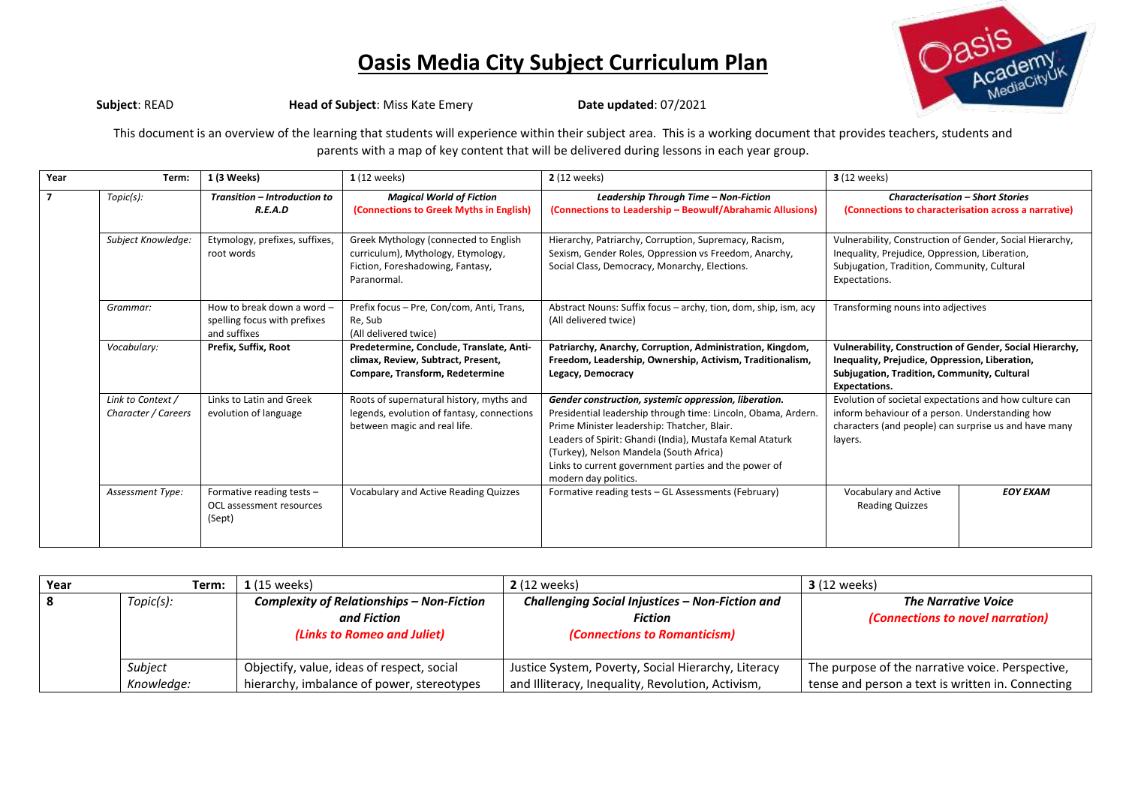

**Subject: READ Head of Subject: Miss Kate Emery Date updated: 07/2021** 

This document is an overview of the learning that students will experience within their subject area. This is a working document that provides teachers, students and parents with a map of key content that will be delivered during lessons in each year group.

| Year | Term:                                    | 1 (3 Weeks)                                                                | 1 (12 weeks)                                                                                                                   | 2 (12 weeks)                                                                                                                                                                                                                                                                                                                                                 | <b>3</b> (12 weeks)                                                                                                                                                               |  |
|------|------------------------------------------|----------------------------------------------------------------------------|--------------------------------------------------------------------------------------------------------------------------------|--------------------------------------------------------------------------------------------------------------------------------------------------------------------------------------------------------------------------------------------------------------------------------------------------------------------------------------------------------------|-----------------------------------------------------------------------------------------------------------------------------------------------------------------------------------|--|
|      | Topic(s):                                | Transition - Introduction to<br>R.E.A.D                                    | <b>Magical World of Fiction</b><br>(Connections to Greek Myths in English)                                                     | Leadership Through Time - Non-Fiction<br>(Connections to Leadership - Beowulf/Abrahamic Allusions)                                                                                                                                                                                                                                                           | <b>Characterisation - Short Stories</b><br>(Connections to characterisation across a narrative)                                                                                   |  |
|      | Subject Knowledge:                       | Etymology, prefixes, suffixes,<br>root words                               | Greek Mythology (connected to English<br>curriculum), Mythology, Etymology,<br>Fiction, Foreshadowing, Fantasy,<br>Paranormal. | Hierarchy, Patriarchy, Corruption, Supremacy, Racism,<br>Sexism, Gender Roles, Oppression vs Freedom, Anarchy,<br>Social Class, Democracy, Monarchy, Elections.                                                                                                                                                                                              | Vulnerability, Construction of Gender, Social Hierarchy,<br>Inequality, Prejudice, Oppression, Liberation,<br>Subjugation, Tradition, Community, Cultural<br>Expectations.        |  |
|      | Grammar:                                 | How to break down a word -<br>spelling focus with prefixes<br>and suffixes | Prefix focus - Pre, Con/com, Anti, Trans,<br>Re, Sub<br>(All delivered twice)                                                  | Abstract Nouns: Suffix focus - archy, tion, dom, ship, ism, acy<br>(All delivered twice)                                                                                                                                                                                                                                                                     | Transforming nouns into adjectives                                                                                                                                                |  |
|      | Vocabulary:                              | Prefix, Suffix, Root                                                       | Predetermine, Conclude, Translate, Anti-<br>climax, Review, Subtract, Present,<br>Compare, Transform, Redetermine              | Patriarchy, Anarchy, Corruption, Administration, Kingdom,<br>Freedom, Leadership, Ownership, Activism, Traditionalism,<br>Legacy, Democracy                                                                                                                                                                                                                  | Vulnerability, Construction of Gender, Social Hierarchy,<br>Inequality, Prejudice, Oppression, Liberation,<br>Subjugation, Tradition, Community, Cultural<br><b>Expectations.</b> |  |
|      | Link to Context /<br>Character / Careers | Links to Latin and Greek<br>evolution of language                          | Roots of supernatural history, myths and<br>legends, evolution of fantasy, connections<br>between magic and real life.         | Gender construction, systemic oppression, liberation.<br>Presidential leadership through time: Lincoln, Obama, Ardern.<br>Prime Minister leadership: Thatcher, Blair.<br>Leaders of Spirit: Ghandi (India), Mustafa Kemal Ataturk<br>(Turkey), Nelson Mandela (South Africa)<br>Links to current government parties and the power of<br>modern day politics. | Evolution of societal expectations and how culture can<br>inform behaviour of a person. Understanding how<br>characters (and people) can surprise us and have many<br>layers.     |  |
|      | Assessment Type:                         | Formative reading tests -<br>OCL assessment resources<br>(Sept)            | <b>Vocabulary and Active Reading Quizzes</b>                                                                                   | Formative reading tests - GL Assessments (February)                                                                                                                                                                                                                                                                                                          | Vocabulary and Active<br><b>EOY EXAM</b><br><b>Reading Quizzes</b>                                                                                                                |  |

| Year | Term:      | $1(15 \text{ weeks})$                            | <b>2</b> (12 weeks)                                 | <b>3</b> (12 weeks)                               |
|------|------------|--------------------------------------------------|-----------------------------------------------------|---------------------------------------------------|
| l 8  | Topic(s):  | <b>Complexity of Relationships - Non-Fiction</b> | Challenging Social Injustices - Non-Fiction and     | <b>The Narrative Voice</b>                        |
|      |            | and Fiction                                      | <b>Fiction</b>                                      | (Connections to novel narration)                  |
|      |            | (Links to Romeo and Juliet)                      | <i>(Connections to Romanticism)</i>                 |                                                   |
|      |            |                                                  |                                                     |                                                   |
|      | Subject    | Objectify, value, ideas of respect, social       | Justice System, Poverty, Social Hierarchy, Literacy | The purpose of the narrative voice. Perspective,  |
|      | Knowledge: | hierarchy, imbalance of power, stereotypes       | and Illiteracy, Inequality, Revolution, Activism,   | tense and person a text is written in. Connecting |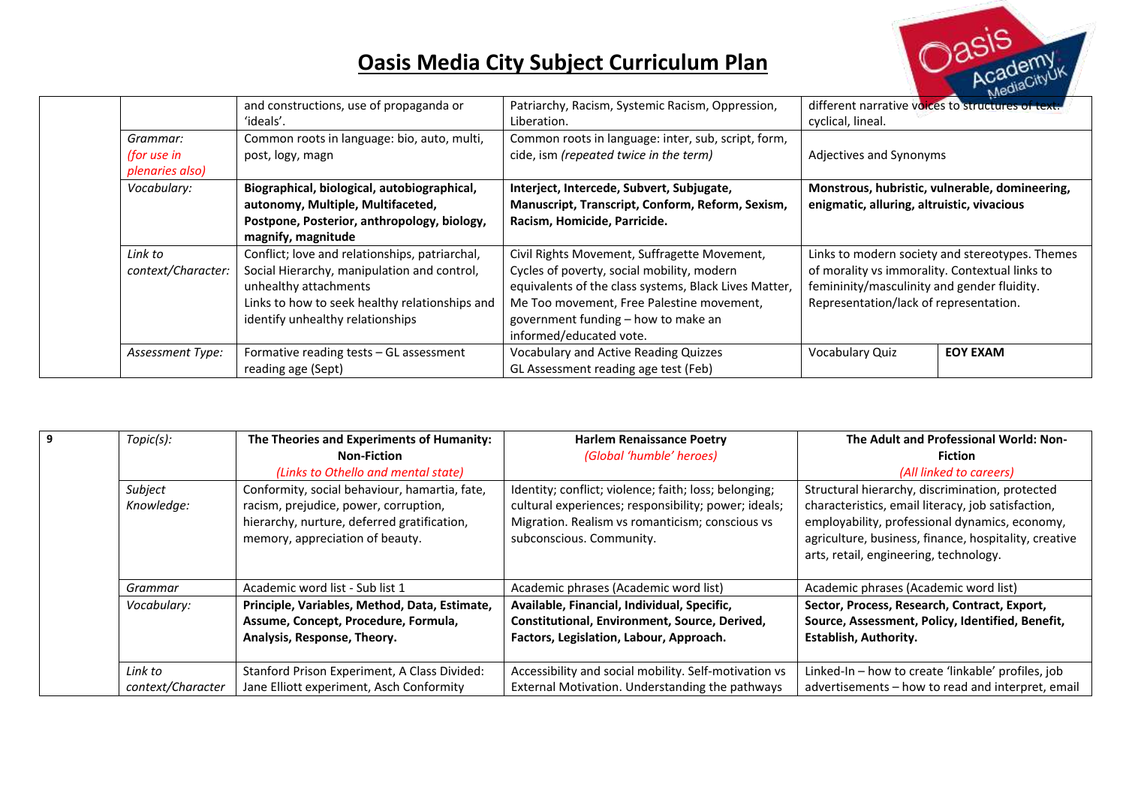

|                                             |                                                      |                                                                 |                                                                        | <b>NG-</b>                                     |
|---------------------------------------------|------------------------------------------------------|-----------------------------------------------------------------|------------------------------------------------------------------------|------------------------------------------------|
|                                             | and constructions, use of propaganda or<br>'ideals'. | Patriarchy, Racism, Systemic Racism, Oppression,<br>Liberation. | different narrative voices to structures of text:<br>cyclical, lineal. |                                                |
| Grammar:                                    | Common roots in language: bio, auto, multi,          | Common roots in language: inter, sub, script, form,             |                                                                        |                                                |
| (for use in                                 | post, logy, magn                                     | cide, ism (repeated twice in the term)                          | Adjectives and Synonyms                                                |                                                |
| plenaries also)                             |                                                      |                                                                 |                                                                        |                                                |
| Vocabulary:                                 | Biographical, biological, autobiographical,          | Interject, Intercede, Subvert, Subjugate,                       |                                                                        | Monstrous, hubristic, vulnerable, domineering, |
|                                             | autonomy, Multiple, Multifaceted,                    | Manuscript, Transcript, Conform, Reform, Sexism,                | enigmatic, alluring, altruistic, vivacious                             |                                                |
| Postpone, Posterior, anthropology, biology, |                                                      | Racism, Homicide, Parricide.                                    |                                                                        |                                                |
|                                             | magnify, magnitude                                   |                                                                 |                                                                        |                                                |
| Link to                                     | Conflict; love and relationships, patriarchal,       | Civil Rights Movement, Suffragette Movement,                    | Links to modern society and stereotypes. Themes                        |                                                |
| context/Character:                          | Social Hierarchy, manipulation and control,          | Cycles of poverty, social mobility, modern                      | of morality vs immorality. Contextual links to                         |                                                |
|                                             | unhealthy attachments                                | equivalents of the class systems, Black Lives Matter,           | femininity/masculinity and gender fluidity.                            |                                                |
|                                             | Links to how to seek healthy relationships and       | Me Too movement, Free Palestine movement,                       | Representation/lack of representation.                                 |                                                |
|                                             | identify unhealthy relationships                     | government funding – how to make an                             |                                                                        |                                                |
|                                             |                                                      | informed/educated vote.                                         |                                                                        |                                                |
| Assessment Type:                            | Formative reading tests - GL assessment              | <b>Vocabulary and Active Reading Quizzes</b>                    | Vocabulary Quiz                                                        | <b>EOY EXAM</b>                                |
|                                             | reading age (Sept)                                   | GL Assessment reading age test (Feb)                            |                                                                        |                                                |

| 9 | Topic(s):                                                    | The Theories and Experiments of Humanity:     | <b>Harlem Renaissance Poetry</b>                      | The Adult and Professional World: Non-                |  |
|---|--------------------------------------------------------------|-----------------------------------------------|-------------------------------------------------------|-------------------------------------------------------|--|
|   |                                                              | <b>Non-Fiction</b>                            | (Global 'humble' heroes)                              | <b>Fiction</b>                                        |  |
|   |                                                              | (Links to Othello and mental state)           |                                                       | (All linked to careers)                               |  |
|   | Subject                                                      | Conformity, social behaviour, hamartia, fate, | Identity; conflict; violence; faith; loss; belonging; | Structural hierarchy, discrimination, protected       |  |
|   | Knowledge:                                                   | racism, prejudice, power, corruption,         | cultural experiences; responsibility; power; ideals;  | characteristics, email literacy, job satisfaction,    |  |
|   |                                                              | hierarchy, nurture, deferred gratification,   | Migration. Realism vs romanticism; conscious vs       | employability, professional dynamics, economy,        |  |
|   | memory, appreciation of beauty.                              |                                               | subconscious. Community.                              | agriculture, business, finance, hospitality, creative |  |
|   |                                                              |                                               |                                                       | arts, retail, engineering, technology.                |  |
|   |                                                              |                                               |                                                       |                                                       |  |
|   | Grammar                                                      | Academic word list - Sub list 1               | Academic phrases (Academic word list)                 | Academic phrases (Academic word list)                 |  |
|   | Vocabulary:<br>Principle, Variables, Method, Data, Estimate, |                                               | Available, Financial, Individual, Specific,           | Sector, Process, Research, Contract, Export,          |  |
|   |                                                              | Assume, Concept, Procedure, Formula,          | Constitutional, Environment, Source, Derived,         | Source, Assessment, Policy, Identified, Benefit,      |  |
|   |                                                              | Analysis, Response, Theory.                   | Factors, Legislation, Labour, Approach.               | <b>Establish, Authority.</b>                          |  |
|   |                                                              |                                               |                                                       |                                                       |  |
|   | Link to                                                      | Stanford Prison Experiment, A Class Divided:  | Accessibility and social mobility. Self-motivation vs | Linked-In - how to create 'linkable' profiles, job    |  |
|   | context/Character                                            | Jane Elliott experiment, Asch Conformity      | External Motivation. Understanding the pathways       | advertisements - how to read and interpret, email     |  |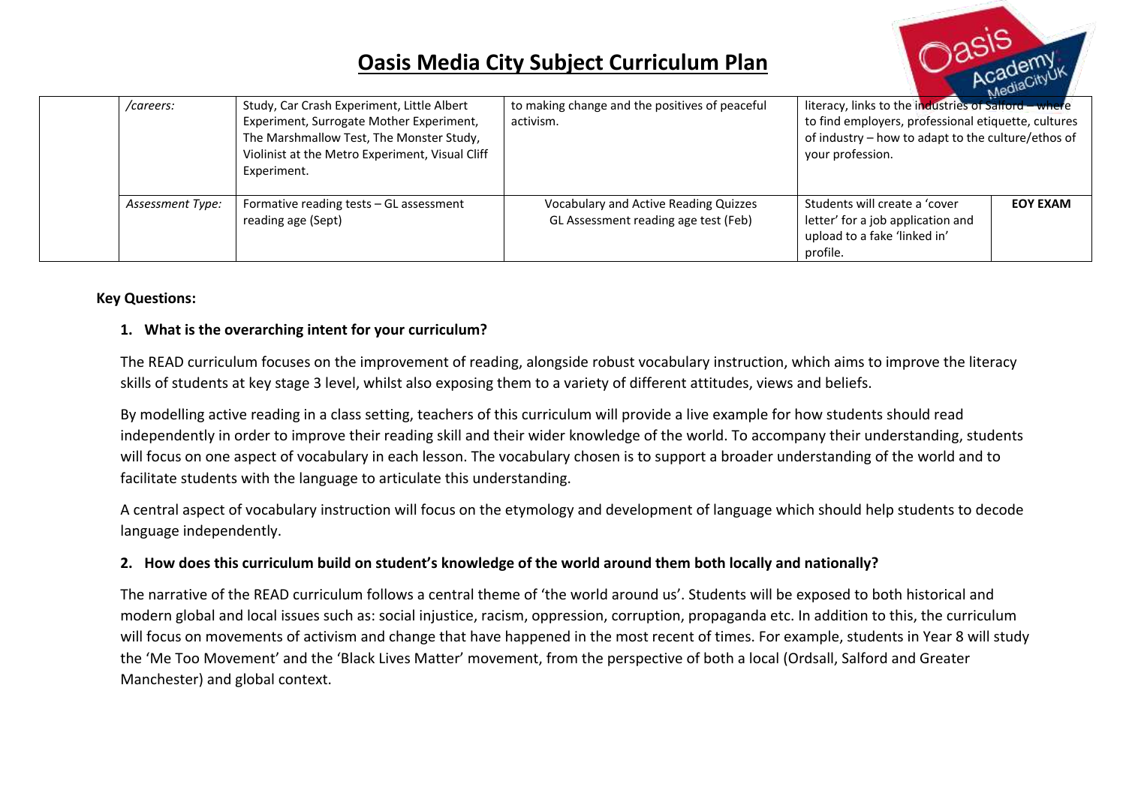

|  | /careers:        | Study, Car Crash Experiment, Little Albert<br>Experiment, Surrogate Mother Experiment,<br>The Marshmallow Test, The Monster Study,<br>Violinist at the Metro Experiment, Visual Cliff<br>Experiment. | to making change and the positives of peaceful<br>activism.                   | <b>NO</b><br>literacy, links to the industries of Salford - where<br>to find employers, professional etiquette, cultures<br>of industry - how to adapt to the culture/ethos of<br>your profession. |                 |
|--|------------------|------------------------------------------------------------------------------------------------------------------------------------------------------------------------------------------------------|-------------------------------------------------------------------------------|----------------------------------------------------------------------------------------------------------------------------------------------------------------------------------------------------|-----------------|
|  | Assessment Type: | Formative reading tests - GL assessment<br>reading age (Sept)                                                                                                                                        | Vocabulary and Active Reading Quizzes<br>GL Assessment reading age test (Feb) | Students will create a 'cover<br>letter' for a job application and<br>upload to a fake 'linked in'<br>profile.                                                                                     | <b>EOY EXAM</b> |

#### **Key Questions:**

#### **1. What is the overarching intent for your curriculum?**

The READ curriculum focuses on the improvement of reading, alongside robust vocabulary instruction, which aims to improve the literacy skills of students at key stage 3 level, whilst also exposing them to a variety of different attitudes, views and beliefs.

By modelling active reading in a class setting, teachers of this curriculum will provide a live example for how students should read independently in order to improve their reading skill and their wider knowledge of the world. To accompany their understanding, students will focus on one aspect of vocabulary in each lesson. The vocabulary chosen is to support a broader understanding of the world and to facilitate students with the language to articulate this understanding.

A central aspect of vocabulary instruction will focus on the etymology and development of language which should help students to decode language independently.

#### **2. How does this curriculum build on student's knowledge of the world around them both locally and nationally?**

The narrative of the READ curriculum follows a central theme of 'the world around us'. Students will be exposed to both historical and modern global and local issues such as: social injustice, racism, oppression, corruption, propaganda etc. In addition to this, the curriculum will focus on movements of activism and change that have happened in the most recent of times. For example, students in Year 8 will study the 'Me Too Movement' and the 'Black Lives Matter' movement, from the perspective of both a local (Ordsall, Salford and Greater Manchester) and global context.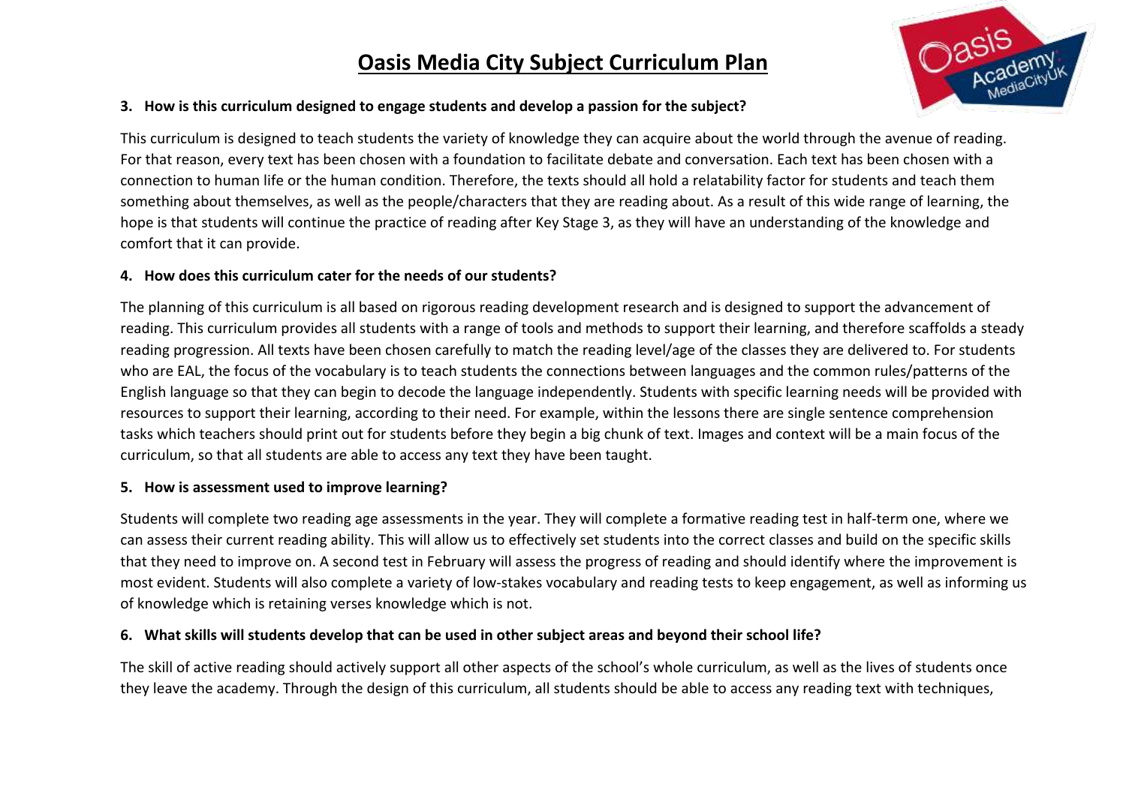

#### **3. How is this curriculum designed to engage students and develop a passion for the subject?**

This curriculum is designed to teach students the variety of knowledge they can acquire about the world through the avenue of reading. For that reason, every text has been chosen with a foundation to facilitate debate and conversation. Each text has been chosen with a connection to human life or the human condition. Therefore, the texts should all hold a relatability factor for students and teach them something about themselves, as well as the people/characters that they are reading about. As a result of this wide range of learning, the hope is that students will continue the practice of reading after Key Stage 3, as they will have an understanding of the knowledge and comfort that it can provide.

#### **4. How does this curriculum cater for the needs of our students?**

The planning of this curriculum is all based on rigorous reading development research and is designed to support the advancement of reading. This curriculum provides all students with a range of tools and methods to support their learning, and therefore scaffolds a steady reading progression. All texts have been chosen carefully to match the reading level/age of the classes they are delivered to. For students who are EAL, the focus of the vocabulary is to teach students the connections between languages and the common rules/patterns of the English language so that they can begin to decode the language independently. Students with specific learning needs will be provided with resources to support their learning, according to their need. For example, within the lessons there are single sentence comprehension tasks which teachers should print out for students before they begin a big chunk of text. Images and context will be a main focus of the curriculum, so that all students are able to access any text they have been taught.

#### **5. How is assessment used to improve learning?**

Students will complete two reading age assessments in the year. They will complete a formative reading test in half-term one, where we can assess their current reading ability. This will allow us to effectively set students into the correct classes and build on the specific skills that they need to improve on. A second test in February will assess the progress of reading and should identify where the improvement is most evident. Students will also complete a variety of low-stakes vocabulary and reading tests to keep engagement, as well as informing us of knowledge which is retaining verses knowledge which is not.

#### **6. What skills will students develop that can be used in other subject areas and beyond their school life?**

The skill of active reading should actively support all other aspects of the school's whole curriculum, as well as the lives of students once they leave the academy. Through the design of this curriculum, all students should be able to access any reading text with techniques,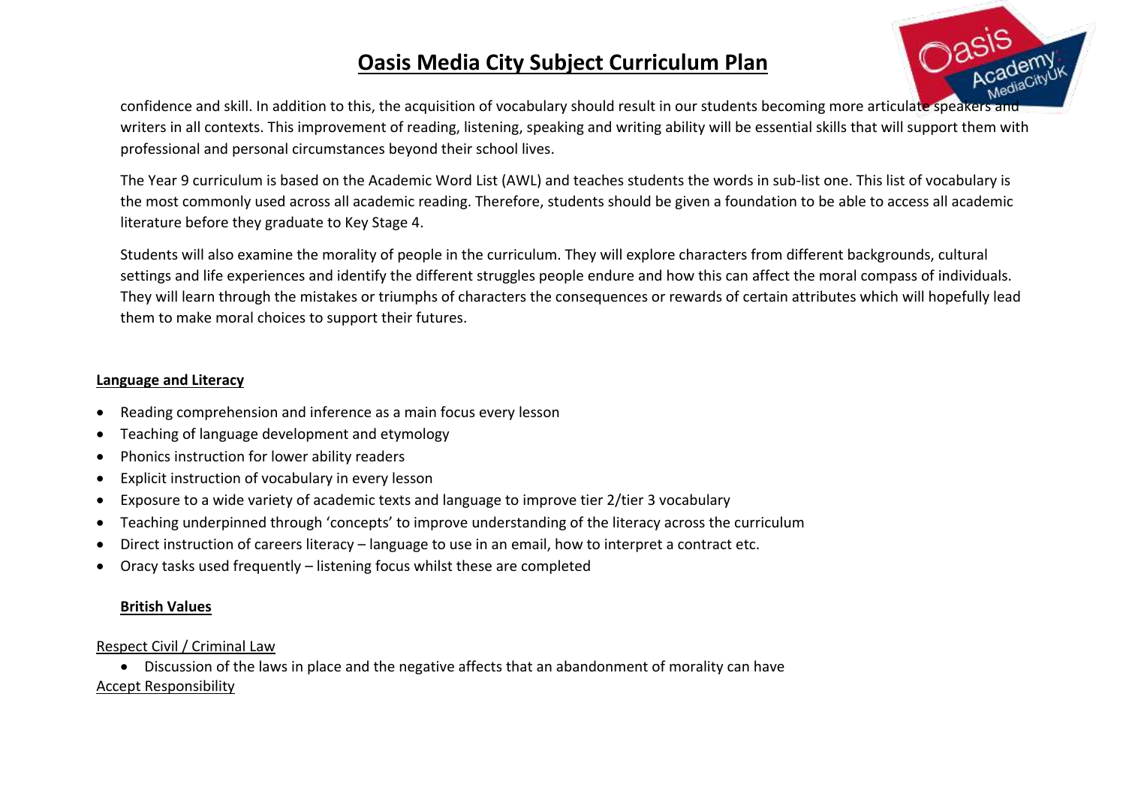

confidence and skill. In addition to this, the acquisition of vocabulary should result in our students becoming more articulate speakers and writers in all contexts. This improvement of reading, listening, speaking and writing ability will be essential skills that will support them with professional and personal circumstances beyond their school lives.

The Year 9 curriculum is based on the Academic Word List (AWL) and teaches students the words in sub-list one. This list of vocabulary is the most commonly used across all academic reading. Therefore, students should be given a foundation to be able to access all academic literature before they graduate to Key Stage 4.

Students will also examine the morality of people in the curriculum. They will explore characters from different backgrounds, cultural settings and life experiences and identify the different struggles people endure and how this can affect the moral compass of individuals. They will learn through the mistakes or triumphs of characters the consequences or rewards of certain attributes which will hopefully lead them to make moral choices to support their futures.

#### **Language and Literacy**

- Reading comprehension and inference as a main focus every lesson
- Teaching of language development and etymology
- Phonics instruction for lower ability readers
- Explicit instruction of vocabulary in every lesson
- Exposure to a wide variety of academic texts and language to improve tier 2/tier 3 vocabulary
- Teaching underpinned through 'concepts' to improve understanding of the literacy across the curriculum
- Direct instruction of careers literacy language to use in an email, how to interpret a contract etc.
- Oracy tasks used frequently listening focus whilst these are completed

### **British Values**

### Respect Civil / Criminal Law

 Discussion of the laws in place and the negative affects that an abandonment of morality can have Accept Responsibility